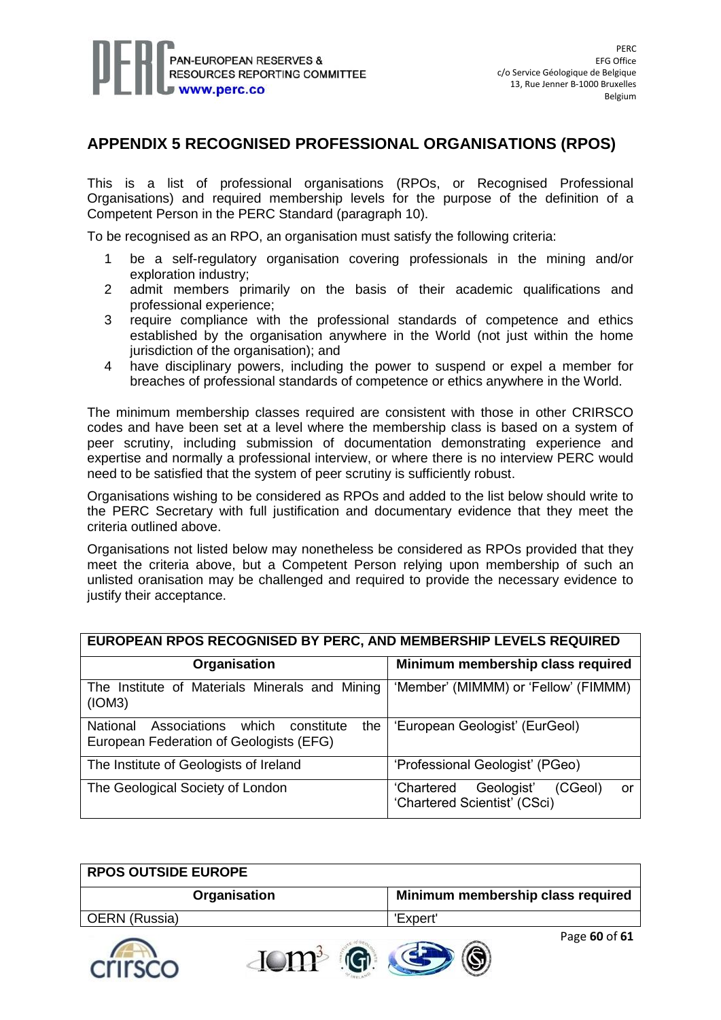

## **APPENDIX 5 RECOGNISED PROFESSIONAL ORGANISATIONS (RPOS)**

This is a list of professional organisations (RPOs, or Recognised Professional Organisations) and required membership levels for the purpose of the definition of a Competent Person in the PERC Standard (paragraph 10).

To be recognised as an RPO, an organisation must satisfy the following criteria:

- 1 be a self-regulatory organisation covering professionals in the mining and/or exploration industry;
- 2 admit members primarily on the basis of their academic qualifications and professional experience;
- 3 require compliance with the professional standards of competence and ethics established by the organisation anywhere in the World (not just within the home jurisdiction of the organisation); and
- 4 have disciplinary powers, including the power to suspend or expel a member for breaches of professional standards of competence or ethics anywhere in the World.

The minimum membership classes required are consistent with those in other CRIRSCO codes and have been set at a level where the membership class is based on a system of peer scrutiny, including submission of documentation demonstrating experience and expertise and normally a professional interview, or where there is no interview PERC would need to be satisfied that the system of peer scrutiny is sufficiently robust.

Organisations wishing to be considered as RPOs and added to the list below should write to the PERC Secretary with full justification and documentary evidence that they meet the criteria outlined above.

Organisations not listed below may nonetheless be considered as RPOs provided that they meet the criteria above, but a Competent Person relying upon membership of such an unlisted oranisation may be challenged and required to provide the necessary evidence to justify their acceptance.

| <b>EUROPEAN RPOS RECOGNISED BY PERC, AND MEMBERSHIP LEVELS REQUIRED</b>                        |                                                                           |  |
|------------------------------------------------------------------------------------------------|---------------------------------------------------------------------------|--|
| Organisation                                                                                   | Minimum membership class required                                         |  |
| The Institute of Materials Minerals and Mining<br>(ION3)                                       | 'Member' (MIMMM) or 'Fellow' (FIMMM)                                      |  |
| Associations which<br>the<br>National<br>constitute<br>European Federation of Geologists (EFG) | 'European Geologist' (EurGeol)                                            |  |
| The Institute of Geologists of Ireland                                                         | 'Professional Geologist' (PGeo)                                           |  |
| The Geological Society of London                                                               | 'Chartered<br>Geologist'<br>(CGeol)<br>or<br>'Chartered Scientist' (CSci) |  |

| <b>RPOS OUTSIDE EUROPE</b> |                                   |
|----------------------------|-----------------------------------|
| Organisation               | Minimum membership class required |
| OERN (Russia)              | 'Expert'                          |
|                            | Page 60 of 61<br>$A = 100$ Mature |

 $\text{J} \text{O} \text{m}^3$  . G